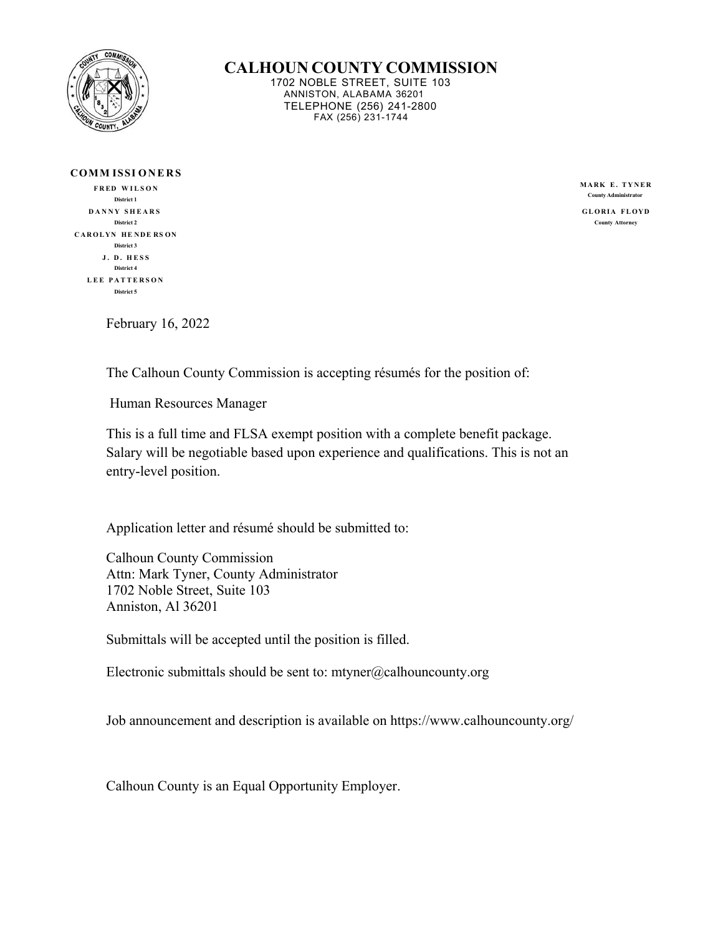

**CALHOUN COUNTY COMMISSION**

1702 NOBLE STREET, SUITE 103 ANNISTON, ALABAMA 36201 TELEPHONE (256) 241-2800 FAX (256) 231-1744

| <b>COMMISSIONERS</b> |
|----------------------|
| <b>FRED WILSON</b>   |
| District 1           |
| DANNY SHEARS         |
| District 2           |
| CAROLYN HENDERSON    |
| District 3           |
| J. D. HESS           |
| District 4           |
| LEE PATTERSON        |
| District 5           |

**MARK E. TYNER County Administrator**

GLORIA FLOYD **County Attorney**

February 16, 2022

The Calhoun County Commission is accepting résumés for the position of:

Human Resources Manager

This is a full time and FLSA exempt position with a complete benefit package. Salary will be negotiable based upon experience and qualifications. This is not an entry-level position.

Application letter and résumé should be submitted to:

Calhoun County Commission Attn: Mark Tyner, County Administrator 1702 Noble Street, Suite 103 Anniston, Al 36201

Submittals will be accepted until the position is filled.

Electronic submittals should be sent to:  $m$ tyner@calhouncounty.org

Job announcement and description is available on https://www.calhouncounty.org/

Calhoun County is an Equal Opportunity Employer.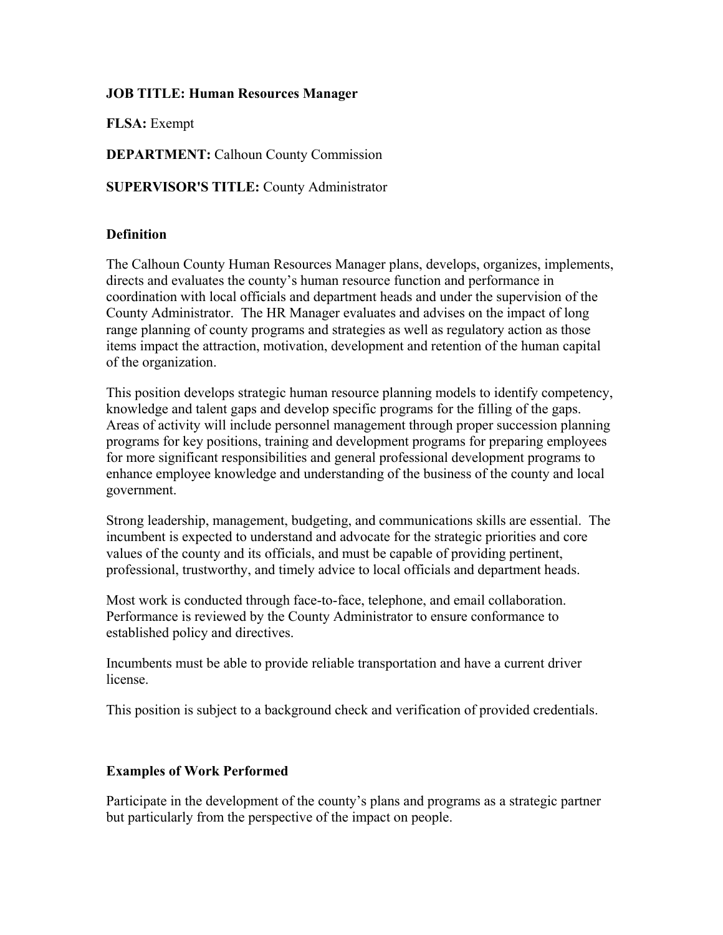## **JOB TITLE: Human Resources Manager**

**FLSA:** Exempt

**DEPARTMENT:** Calhoun County Commission

**SUPERVISOR'S TITLE:** County Administrator

## **Definition**

The Calhoun County Human Resources Manager plans, develops, organizes, implements, directs and evaluates the county's human resource function and performance in coordination with local officials and department heads and under the supervision of the County Administrator. The HR Manager evaluates and advises on the impact of long range planning of county programs and strategies as well as regulatory action as those items impact the attraction, motivation, development and retention of the human capital of the organization.

This position develops strategic human resource planning models to identify competency, knowledge and talent gaps and develop specific programs for the filling of the gaps. Areas of activity will include personnel management through proper succession planning programs for key positions, training and development programs for preparing employees for more significant responsibilities and general professional development programs to enhance employee knowledge and understanding of the business of the county and local government.

Strong leadership, management, budgeting, and communications skills are essential. The incumbent is expected to understand and advocate for the strategic priorities and core values of the county and its officials, and must be capable of providing pertinent, professional, trustworthy, and timely advice to local officials and department heads.

Most work is conducted through face-to-face, telephone, and email collaboration. Performance is reviewed by the County Administrator to ensure conformance to established policy and directives.

Incumbents must be able to provide reliable transportation and have a current driver license.

This position is subject to a background check and verification of provided credentials.

#### **Examples of Work Performed**

Participate in the development of the county's plans and programs as a strategic partner but particularly from the perspective of the impact on people.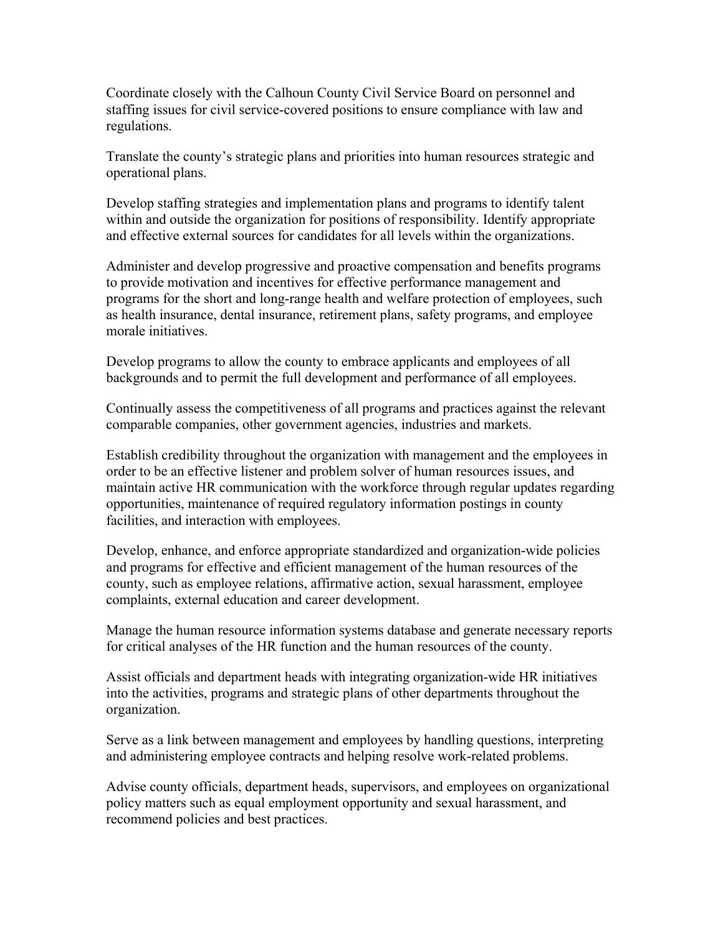Coordinate closely with the Calhoun County Civil Service Board on personnel and staffing issues for civil service-covered positions to ensure compliance with law and regulations.

Translate the county's strategic plans and priorities into human resources strategic and operational plans.

Develop staffing strategies and implementation plans and programs to identify talent within and outside the organization for positions of responsibility. Identify appropriate and effective external sources for candidates for all levels within the organizations.

Administer and develop progressive and proactive compensation and benefits programs to provide motivation and incentives for effective performance management and programs for the short and long-range health and welfare protection of employees, such as health insurance, dental insurance, retirement plans, safety programs, and employee morale initiatives.

Develop programs to allow the county to embrace applicants and employees of all backgrounds and to permit the full development and performance of all employees.

Continually assess the competitiveness of all programs and practices against the relevant comparable companies, other government agencies, industries and markets.

Establish credibility throughout the organization with management and the employees in order to be an effective listener and problem solver of human resources issues, and maintain active HR communication with the workforce through regular updates regarding opportunities, maintenance of required regulatory information postings in county facilities, and interaction with employees.

Develop, enhance, and enforce appropriate standardized and organization-wide policies and programs for effective and efficient management of the human resources of the county, such as employee relations, affirmative action, sexual harassment, employee complaints, external education and career development.

Manage the human resource information systems database and generate necessary reports for critical analyses of the HR function and the human resources of the county.

Assist officials and department heads with integrating organization-wide HR initiatives into the activities, programs and strategic plans of other departments throughout the organization.

Serve as a link between management and employees by handling questions, interpreting and administering employee contracts and helping resolve work-related problems.

Advise county officials, department heads, supervisors, and employees on organizational policy matters such as equal employment opportunity and sexual harassment, and recommend policies and best practices.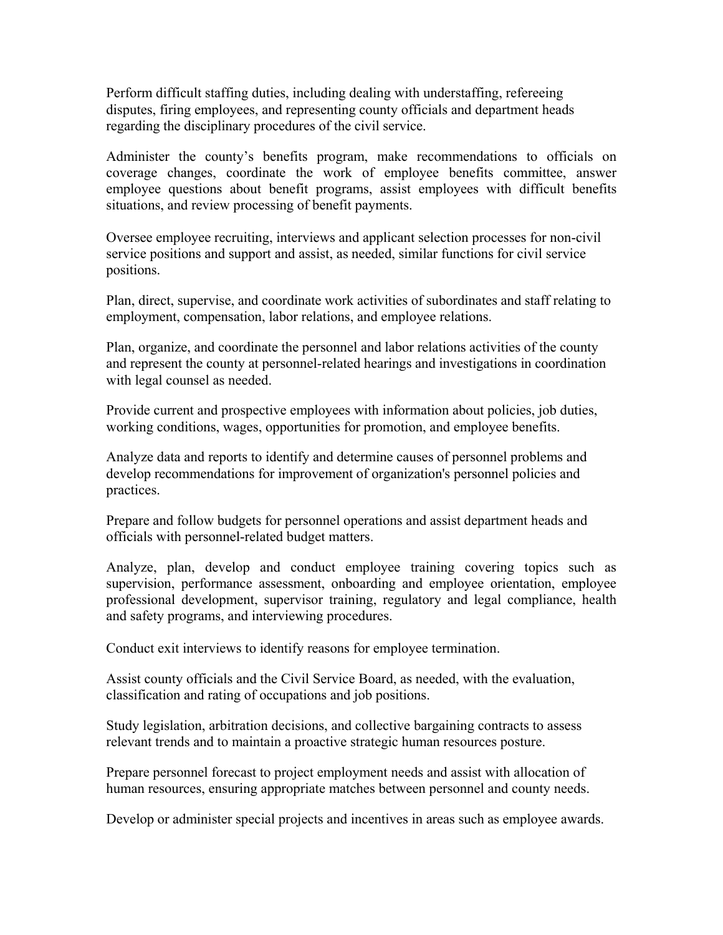Perform difficult staffing duties, including dealing with understaffing, refereeing disputes, firing employees, and representing county officials and department heads regarding the disciplinary procedures of the civil service.

Administer the county's benefits program, make recommendations to officials on coverage changes, coordinate the work of employee benefits committee, answer employee questions about benefit programs, assist employees with difficult benefits situations, and review processing of benefit payments.

Oversee employee recruiting, interviews and applicant selection processes for non-civil service positions and support and assist, as needed, similar functions for civil service positions.

Plan, direct, supervise, and coordinate work activities of subordinates and staff relating to employment, compensation, labor relations, and employee relations.

Plan, organize, and coordinate the personnel and labor relations activities of the county and represent the county at personnel-related hearings and investigations in coordination with legal counsel as needed.

Provide current and prospective employees with information about policies, job duties, working conditions, wages, opportunities for promotion, and employee benefits.

Analyze data and reports to identify and determine causes of personnel problems and develop recommendations for improvement of organization's personnel policies and practices.

Prepare and follow budgets for personnel operations and assist department heads and officials with personnel-related budget matters.

Analyze, plan, develop and conduct employee training covering topics such as supervision, performance assessment, onboarding and employee orientation, employee professional development, supervisor training, regulatory and legal compliance, health and safety programs, and interviewing procedures.

Conduct exit interviews to identify reasons for employee termination.

Assist county officials and the Civil Service Board, as needed, with the evaluation, classification and rating of occupations and job positions.

Study legislation, arbitration decisions, and collective bargaining contracts to assess relevant trends and to maintain a proactive strategic human resources posture.

Prepare personnel forecast to project employment needs and assist with allocation of human resources, ensuring appropriate matches between personnel and county needs.

Develop or administer special projects and incentives in areas such as employee awards.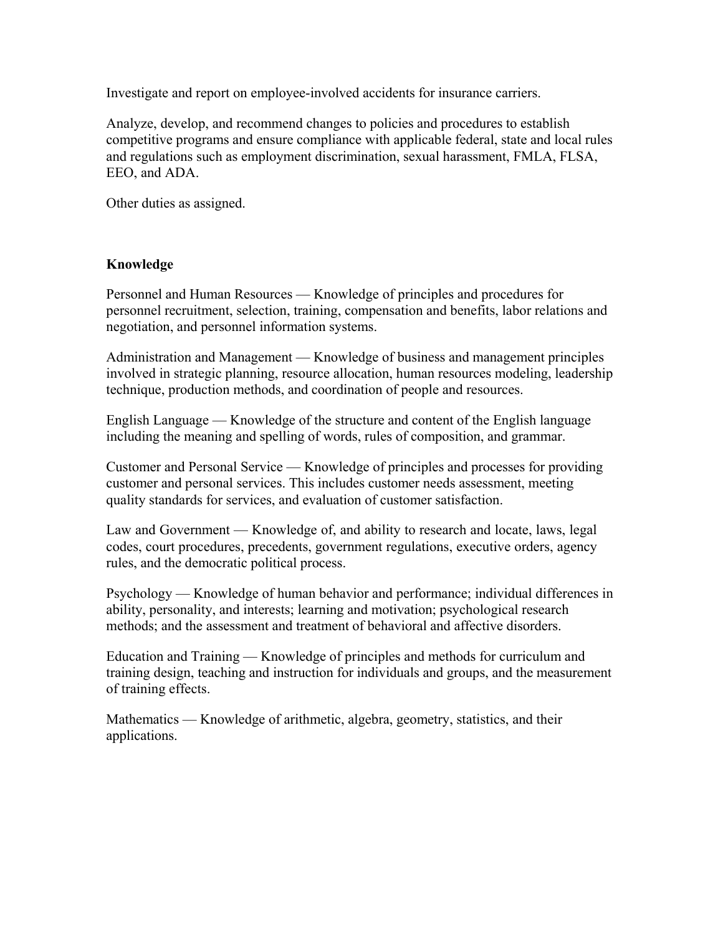Investigate and report on employee-involved accidents for insurance carriers.

Analyze, develop, and recommend changes to policies and procedures to establish competitive programs and ensure compliance with applicable federal, state and local rules and regulations such as employment discrimination, sexual harassment, FMLA, FLSA, EEO, and ADA.

Other duties as assigned.

#### **Knowledge**

Personnel and Human Resources — Knowledge of principles and procedures for personnel recruitment, selection, training, compensation and benefits, labor relations and negotiation, and personnel information systems.

Administration and Management — Knowledge of business and management principles involved in strategic planning, resource allocation, human resources modeling, leadership technique, production methods, and coordination of people and resources.

English Language — Knowledge of the structure and content of the English language including the meaning and spelling of words, rules of composition, and grammar.

Customer and Personal Service — Knowledge of principles and processes for providing customer and personal services. This includes customer needs assessment, meeting quality standards for services, and evaluation of customer satisfaction.

Law and Government — Knowledge of, and ability to research and locate, laws, legal codes, court procedures, precedents, government regulations, executive orders, agency rules, and the democratic political process.

Psychology — Knowledge of human behavior and performance; individual differences in ability, personality, and interests; learning and motivation; psychological research methods; and the assessment and treatment of behavioral and affective disorders.

Education and Training — Knowledge of principles and methods for curriculum and training design, teaching and instruction for individuals and groups, and the measurement of training effects.

Mathematics — Knowledge of arithmetic, algebra, geometry, statistics, and their applications.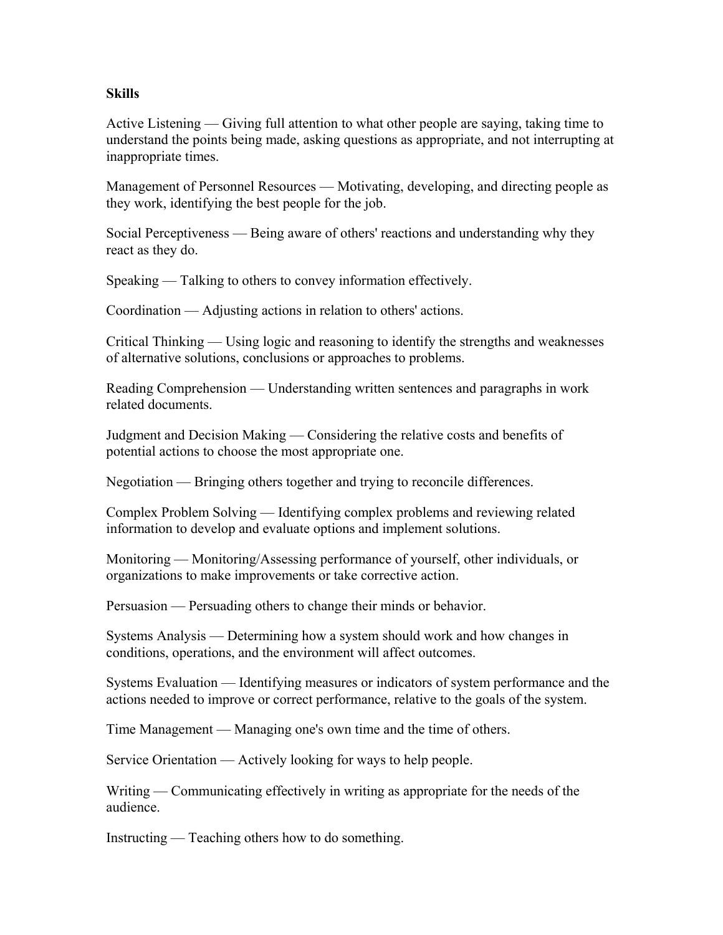#### **Skills**

Active Listening — Giving full attention to what other people are saying, taking time to understand the points being made, asking questions as appropriate, and not interrupting at inappropriate times.

Management of Personnel Resources — Motivating, developing, and directing people as they work, identifying the best people for the job.

Social Perceptiveness — Being aware of others' reactions and understanding why they react as they do.

Speaking — Talking to others to convey information effectively.

Coordination — Adjusting actions in relation to others' actions.

Critical Thinking — Using logic and reasoning to identify the strengths and weaknesses of alternative solutions, conclusions or approaches to problems.

Reading Comprehension — Understanding written sentences and paragraphs in work related documents.

Judgment and Decision Making — Considering the relative costs and benefits of potential actions to choose the most appropriate one.

Negotiation — Bringing others together and trying to reconcile differences.

Complex Problem Solving — Identifying complex problems and reviewing related information to develop and evaluate options and implement solutions.

Monitoring — Monitoring/Assessing performance of yourself, other individuals, or organizations to make improvements or take corrective action.

Persuasion — Persuading others to change their minds or behavior.

Systems Analysis — Determining how a system should work and how changes in conditions, operations, and the environment will affect outcomes.

Systems Evaluation — Identifying measures or indicators of system performance and the actions needed to improve or correct performance, relative to the goals of the system.

Time Management — Managing one's own time and the time of others.

Service Orientation — Actively looking for ways to help people.

Writing — Communicating effectively in writing as appropriate for the needs of the audience.

Instructing — Teaching others how to do something.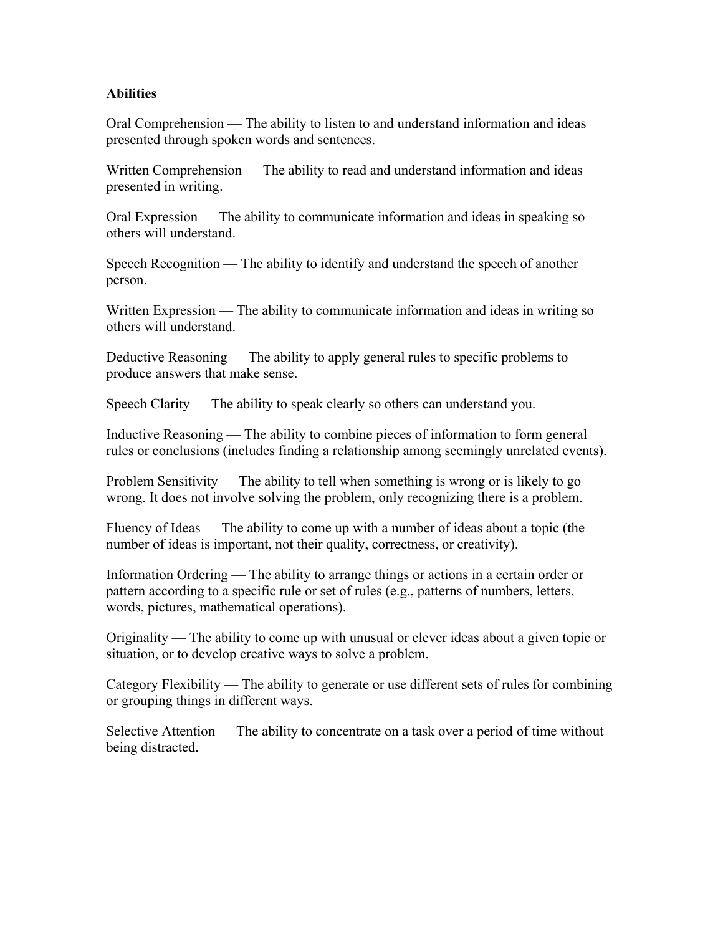## **Abilities**

Oral Comprehension — The ability to listen to and understand information and ideas presented through spoken words and sentences.

Written Comprehension — The ability to read and understand information and ideas presented in writing.

Oral Expression — The ability to communicate information and ideas in speaking so others will understand.

Speech Recognition — The ability to identify and understand the speech of another person.

Written Expression — The ability to communicate information and ideas in writing so others will understand.

Deductive Reasoning — The ability to apply general rules to specific problems to produce answers that make sense.

Speech Clarity — The ability to speak clearly so others can understand you.

Inductive Reasoning — The ability to combine pieces of information to form general rules or conclusions (includes finding a relationship among seemingly unrelated events).

Problem Sensitivity — The ability to tell when something is wrong or is likely to go wrong. It does not involve solving the problem, only recognizing there is a problem.

Fluency of Ideas — The ability to come up with a number of ideas about a topic (the number of ideas is important, not their quality, correctness, or creativity).

Information Ordering — The ability to arrange things or actions in a certain order or pattern according to a specific rule or set of rules (e.g., patterns of numbers, letters, words, pictures, mathematical operations).

Originality — The ability to come up with unusual or clever ideas about a given topic or situation, or to develop creative ways to solve a problem.

Category Flexibility — The ability to generate or use different sets of rules for combining or grouping things in different ways.

Selective Attention — The ability to concentrate on a task over a period of time without being distracted.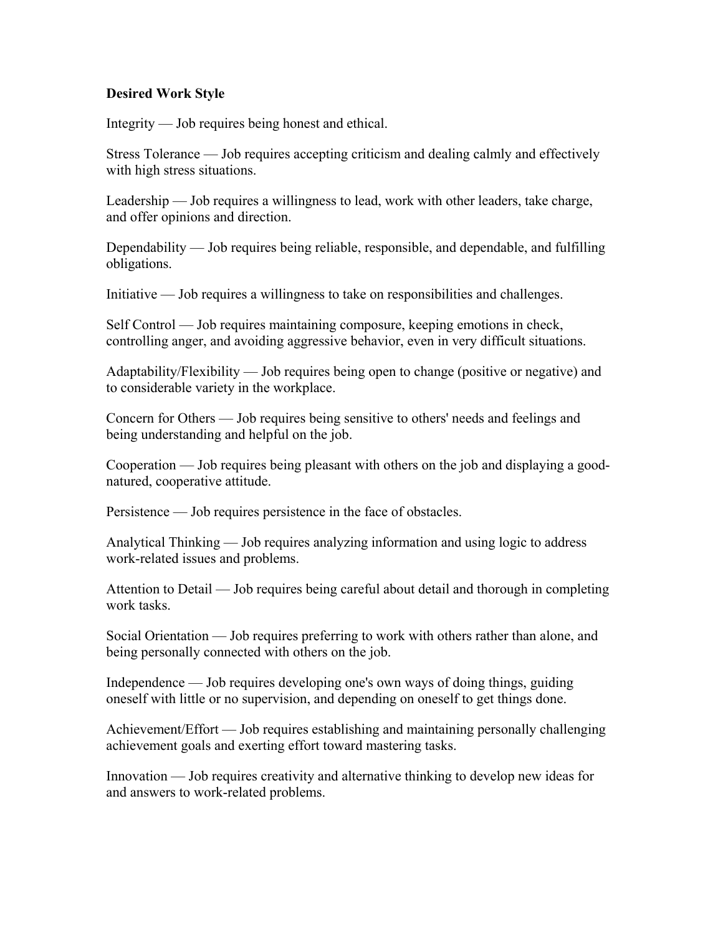### **Desired Work Style**

Integrity — Job requires being honest and ethical.

Stress Tolerance — Job requires accepting criticism and dealing calmly and effectively with high stress situations.

Leadership — Job requires a willingness to lead, work with other leaders, take charge, and offer opinions and direction.

Dependability — Job requires being reliable, responsible, and dependable, and fulfilling obligations.

Initiative — Job requires a willingness to take on responsibilities and challenges.

Self Control — Job requires maintaining composure, keeping emotions in check, controlling anger, and avoiding aggressive behavior, even in very difficult situations.

Adaptability/Flexibility — Job requires being open to change (positive or negative) and to considerable variety in the workplace.

Concern for Others — Job requires being sensitive to others' needs and feelings and being understanding and helpful on the job.

Cooperation — Job requires being pleasant with others on the job and displaying a goodnatured, cooperative attitude.

Persistence — Job requires persistence in the face of obstacles.

Analytical Thinking — Job requires analyzing information and using logic to address work-related issues and problems.

Attention to Detail — Job requires being careful about detail and thorough in completing work tasks.

Social Orientation — Job requires preferring to work with others rather than alone, and being personally connected with others on the job.

Independence — Job requires developing one's own ways of doing things, guiding oneself with little or no supervision, and depending on oneself to get things done.

Achievement/Effort — Job requires establishing and maintaining personally challenging achievement goals and exerting effort toward mastering tasks.

Innovation — Job requires creativity and alternative thinking to develop new ideas for and answers to work-related problems.